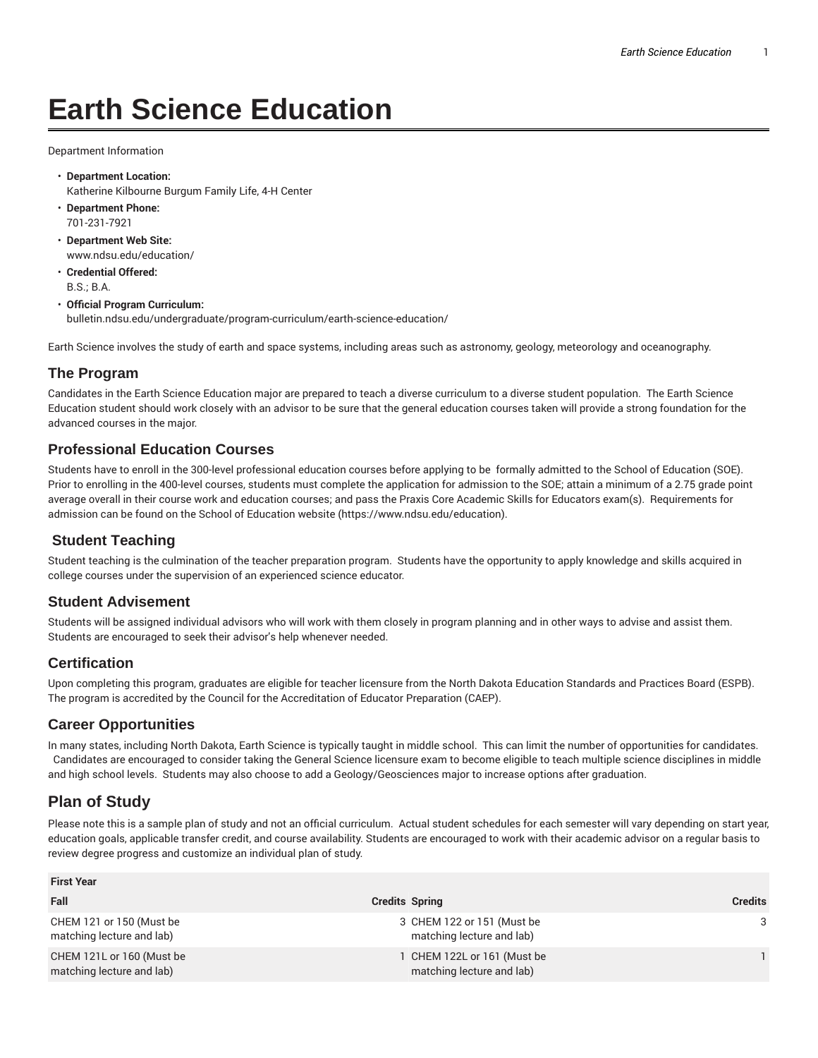# **Earth Science Education**

Department Information

- **Department Location:** Katherine Kilbourne Burgum Family Life, 4-H Center
- **Department Phone:** 701-231-7921
- **Department Web Site:** www.ndsu.edu/education/
- **Credential Offered:** B.S.; B.A.
- **Official Program Curriculum:** bulletin.ndsu.edu/undergraduate/program-curriculum/earth-science-education/

Earth Science involves the study of earth and space systems, including areas such as astronomy, geology, meteorology and oceanography.

#### **The Program**

Candidates in the Earth Science Education major are prepared to teach a diverse curriculum to a diverse student population. The Earth Science Education student should work closely with an advisor to be sure that the general education courses taken will provide a strong foundation for the advanced courses in the major.

#### **Professional Education Courses**

Students have to enroll in the 300-level professional education courses before applying to be formally admitted to the School of Education (SOE). Prior to enrolling in the 400-level courses, students must complete the application for admission to the SOE; attain a minimum of a 2.75 grade point average overall in their course work and education courses; and pass the Praxis Core Academic Skills for Educators exam(s). Requirements for admission can be found on the School of Education website (https://www.ndsu.edu/education).

### **Student Teaching**

Student teaching is the culmination of the teacher preparation program. Students have the opportunity to apply knowledge and skills acquired in college courses under the supervision of an experienced science educator.

#### **Student Advisement**

Students will be assigned individual advisors who will work with them closely in program planning and in other ways to advise and assist them. Students are encouraged to seek their advisor's help whenever needed.

#### **Certification**

Upon completing this program, graduates are eligible for teacher licensure from the North Dakota Education Standards and Practices Board (ESPB). The program is accredited by the Council for the Accreditation of Educator Preparation (CAEP).

#### **Career Opportunities**

In many states, including North Dakota, Earth Science is typically taught in middle school. This can limit the number of opportunities for candidates. Candidates are encouraged to consider taking the General Science licensure exam to become eligible to teach multiple science disciplines in middle and high school levels. Students may also choose to add a Geology/Geosciences major to increase options after graduation.

## **Plan of Study**

**First Year**

Please note this is a sample plan of study and not an official curriculum. Actual student schedules for each semester will vary depending on start year, education goals, applicable transfer credit, and course availability. Students are encouraged to work with their academic advisor on a regular basis to review degree progress and customize an individual plan of study.

| <b>FIISL TEAL</b>                                      |                                                         |                |
|--------------------------------------------------------|---------------------------------------------------------|----------------|
| Fall                                                   | <b>Credits Spring</b>                                   | <b>Credits</b> |
| CHEM 121 or 150 (Must be<br>matching lecture and lab)  | 3 CHEM 122 or 151 (Must be<br>matching lecture and lab) | 3              |
| CHEM 121L or 160 (Must be<br>matching lecture and lab) | CHEM 122L or 161 (Must be<br>matching lecture and lab)  |                |